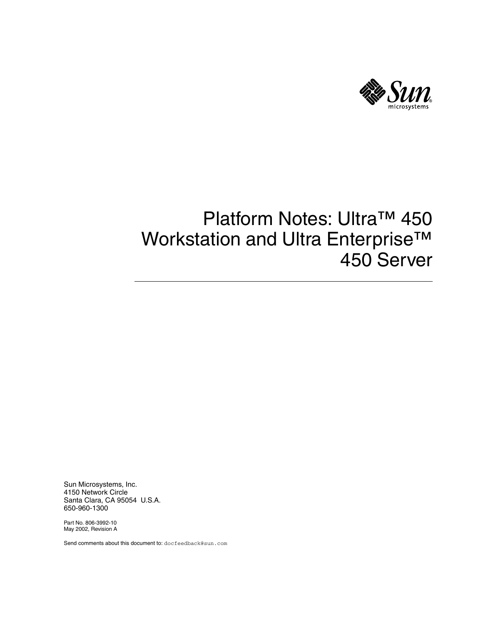

# Platform Notes: Ultra™ 450 Workstation and Ultra Enterprise™ 450 Server

Sun Microsystems, Inc. 4150 Network Circle Santa Clara, CA 95054 U.S.A. 650-960-1300

Part No. 806-3992-10 May 2002, Revision A

Send comments about this document to: docfeedback@sun.com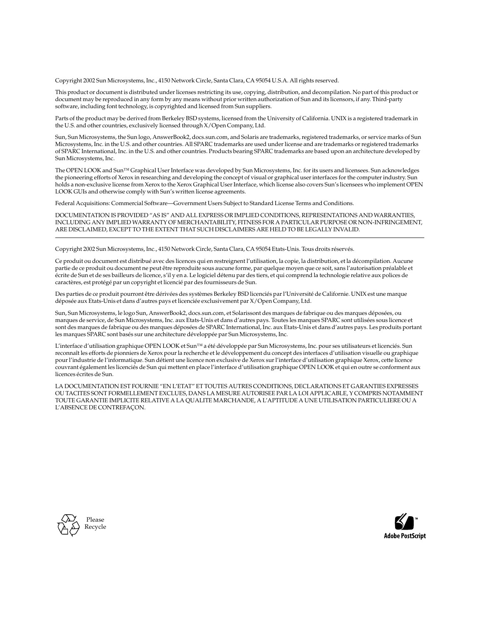Copyright 2002 Sun Microsystems, Inc., 4150 Network Circle, Santa Clara, CA 95054 U.S.A. All rights reserved.

This product or document is distributed under licenses restricting its use, copying, distribution, and decompilation. No part of this product or document may be reproduced in any form by any means without prior written authorization of Sun and its licensors, if any. Third-party software, including font technology, is copyrighted and licensed from Sun suppliers.

Parts of the product may be derived from Berkeley BSD systems, licensed from the University of California. UNIX is a registered trademark in the U.S. and other countries, exclusively licensed through X/Open Company, Ltd.

Sun, Sun Microsystems, the Sun logo, AnswerBook2, docs.sun.com, and Solaris are trademarks, registered trademarks, or service marks of Sun Microsystems, Inc. in the U.S. and other countries. All SPARC trademarks are used under license and are trademarks or registered trademarks of SPARC International, Inc. in the U.S. and other countries. Products bearing SPARC trademarks are based upon an architecture developed by Sun Microsystems, Inc.

The OPEN LOOK and Sun™ Graphical User Interface was developed by Sun Microsystems, Inc. for its users and licensees. Sun acknowledges the pioneering efforts of Xerox in researching and developing the concept of visual or graphical user interfaces for the computer industry. Sun holds a non-exclusive license from Xerox to the Xerox Graphical User Interface, which license also covers Sun's licensees who implement OPEN LOOK GUIs and otherwise comply with Sun's written license agreements.

Federal Acquisitions: Commercial Software—Government Users Subject to Standard License Terms and Conditions.

DOCUMENTATION IS PROVIDED "AS IS" AND ALL EXPRESS OR IMPLIED CONDITIONS, REPRESENTATIONS AND WARRANTIES, INCLUDING ANY IMPLIED WARRANTY OF MERCHANTABILITY, FITNESS FOR A PARTICULAR PURPOSE OR NON-INFRINGEMENT, ARE DISCLAIMED, EXCEPT TO THE EXTENT THAT SUCH DISCLAIMERS ARE HELD TO BE LEGALLY INVALID.

Copyright 2002 Sun Microsystems, Inc., 4150 Network Circle, Santa Clara, CA 95054 Etats-Unis. Tous droits réservés.

Ce produit ou document est distribué avec des licences qui en restreignent l'utilisation, la copie, la distribution, et la décompilation. Aucune partie de ce produit ou document ne peut être reproduite sous aucune forme, par quelque moyen que ce soit, sans l'autorisation préalable et écrite de Sun et de ses bailleurs de licence, s'il y en a. Le logiciel détenu par des tiers, et qui comprend la technologie relative aux polices de caractères, est protégé par un copyright et licencié par des fournisseurs de Sun.

Des parties de ce produit pourront être dérivées des systèmes Berkeley BSD licenciés par l'Université de Californie. UNIX est une marque déposée aux Etats-Unis et dans d'autres pays et licenciée exclusivement par X/Open Company, Ltd.

Sun, Sun Microsystems, le logo Sun, AnswerBook2, docs.sun.com, et Solarissont des marques de fabrique ou des marques déposées, ou marques de service, de Sun Microsystems, Inc. aux Etats-Unis et dans d'autres pays. Toutes les marques SPARC sont utilisées sous licence et sont des marques de fabrique ou des marques déposées de SPARC International, Inc. aux Etats-Unis et dans d'autres pays. Les produits portant les marques SPARC sont basés sur une architecture développée par Sun Microsystems, Inc.

L'interface d'utilisation graphique OPEN LOOK et Sun™ a été développée par Sun Microsystems, Inc. pour ses utilisateurs et licenciés. Sun reconnaît les efforts de pionniers de Xerox pour la recherche et le développement du concept des interfaces d'utilisation visuelle ou graphique pour l'industrie de l'informatique. Sun détient une licence non exclusive de Xerox sur l'interface d'utilisation graphique Xerox, cette licence couvrant également les licenciés de Sun qui mettent en place l'interface d'utilisation graphique OPEN LOOK et qui en outre se conforment aux licences écrites de Sun.

LA DOCUMENTATION EST FOURNIE "EN L'ETAT" ET TOUTES AUTRES CONDITIONS, DECLARATIONS ET GARANTIES EXPRESSES OU TACITES SONT FORMELLEMENT EXCLUES, DANS LA MESURE AUTORISEE PAR LA LOI APPLICABLE, Y COMPRIS NOTAMMENT TOUTE GARANTIE IMPLICITE RELATIVE A LA QUALITE MARCHANDE, A L'APTITUDE A UNE UTILISATION PARTICULIERE OU A L'ABSENCE DE CONTREFAÇON.



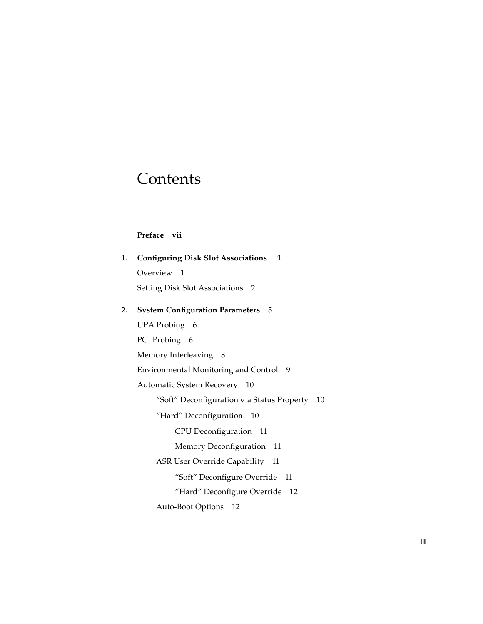# **Contents**

### **[Preface](#page-6-0) vii**

| 1. | <b>Configuring Disk Slot Associations</b> 1      |  |  |  |  |  |
|----|--------------------------------------------------|--|--|--|--|--|
|    | Overview 1                                       |  |  |  |  |  |
|    | Setting Disk Slot Associations 2                 |  |  |  |  |  |
| 2. | <b>System Configuration Parameters 5</b>         |  |  |  |  |  |
|    | UPA Probing 6                                    |  |  |  |  |  |
|    | PCI Probing 6                                    |  |  |  |  |  |
|    | Memory Interleaving 8                            |  |  |  |  |  |
|    | Environmental Monitoring and Control 9           |  |  |  |  |  |
|    | Automatic System Recovery 10                     |  |  |  |  |  |
|    | "Soft" Deconfiguration via Status Property<br>10 |  |  |  |  |  |
|    | "Hard" Deconfiguration 10                        |  |  |  |  |  |
|    | CPU Deconfiguration 11                           |  |  |  |  |  |
|    | Memory Deconfiguration 11                        |  |  |  |  |  |
|    | ASR User Override Capability 11                  |  |  |  |  |  |
|    | "Soft" Deconfigure Override 11                   |  |  |  |  |  |
|    | "Hard" Deconfigure Override 12                   |  |  |  |  |  |
|    | Auto-Boot Options<br>12                          |  |  |  |  |  |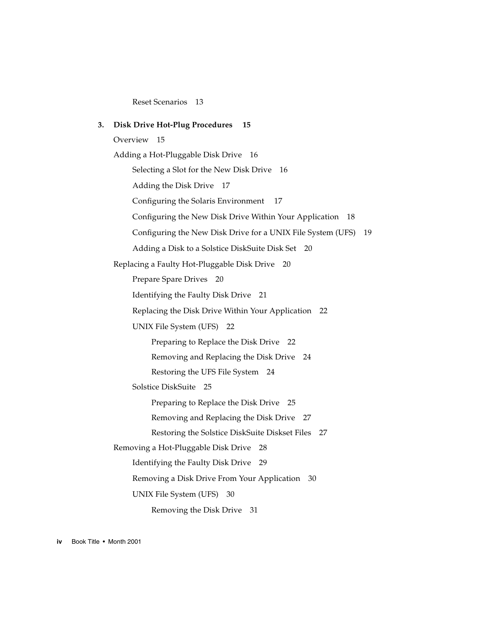[Reset Scenarios 1](#page-22-0)3

**3. [Disk Drive Hot-Plug Procedures 1](#page-24-0)5** [Overview 1](#page-24-1)5 [Adding a Hot-Pluggable Disk Drive 1](#page-25-0)6 [Selecting a Slot for the New Disk Drive 1](#page-25-1)6 [Adding the Disk Drive](#page-26-0) 17 [Configuring the Solaris Environment 1](#page-26-1)7 [Configuring the New Disk Drive Within Your Application 1](#page-27-0)8 [Configuring the New Disk Drive for a UNIX File System \(UFS\)](#page-28-0) 19 [Adding a Disk to a Solstice DiskSuite Disk Set 2](#page-29-0)0 [Replacing a Faulty Hot-Pluggable Disk Drive 2](#page-29-1)0 [Prepare Spare Drives](#page-29-2) 20 [Identifying the Faulty Disk Drive 2](#page-30-0)1 [Replacing the Disk Drive Within Your Application](#page-31-0) 22 [UNIX File System \(UFS\)](#page-31-1) 22 [Preparing to Replace the Disk Drive 2](#page-31-2)2 [Removing and Replacing the Disk Drive](#page-33-0) 24 [Restoring the UFS File System](#page-33-1) 24 [Solstice DiskSuite](#page-34-0) 25 [Preparing to Replace the Disk Drive 2](#page-34-1)5 [Removing and Replacing the Disk Drive](#page-36-0) 27 [Restoring the Solstice DiskSuite Diskset Files 2](#page-36-1)7 [Removing a Hot-Pluggable Disk Drive](#page-37-0) 28 [Identifying the Faulty Disk Drive 2](#page-38-0)9 [Removing a Disk Drive From Your Application 3](#page-39-0)0 [UNIX File System \(UFS\)](#page-39-1) 30 [Removing the Disk Drive 3](#page-40-0)1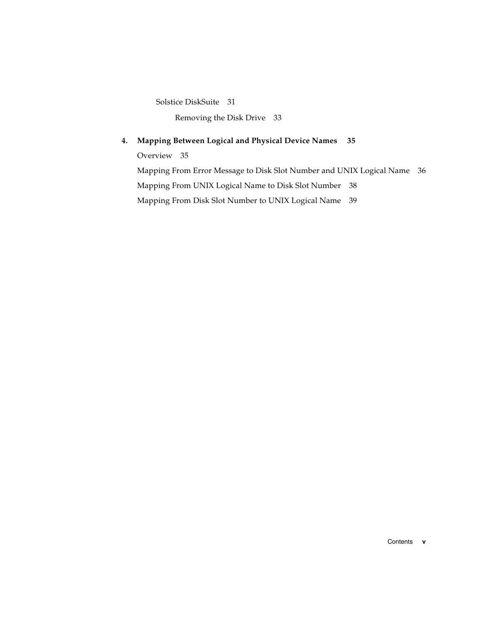[Solstice DiskSuite](#page-40-1) 31

[Removing the Disk Drive 3](#page-42-0)3

#### **4. [Mapping Between Logical and Physical Device Names](#page-44-0) 35**

[Overview 3](#page-44-1)5

[Mapping From Error Message to Disk Slot Number and UNIX Logical Name 3](#page-45-0)6 [Mapping From UNIX Logical Name to Disk Slot Number 3](#page-47-0)8 [Mapping From Disk Slot Number to UNIX Logical Name 3](#page-48-0)9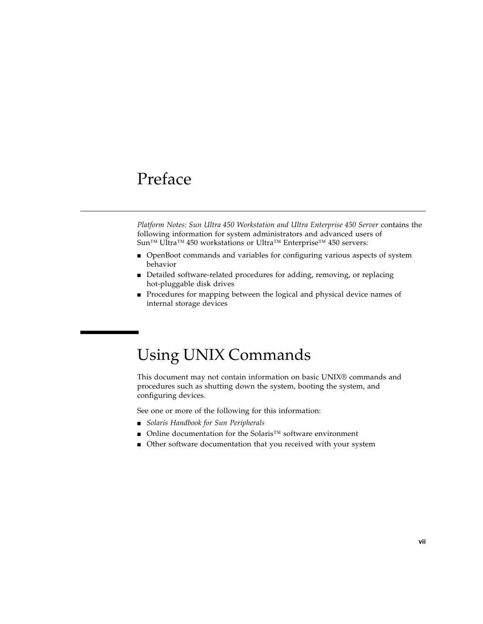## <span id="page-6-0"></span>Preface

*Platform Notes: Sun Ultra 450 Workstation and Ultra Enterprise 450 Server* contains the following information for system administrators and advanced users of Sun™ Ultra™ 450 workstations or Ultra™ Enterprise™ 450 servers:

- OpenBoot commands and variables for configuring various aspects of system behavior
- Detailed software-related procedures for adding, removing, or replacing hot-pluggable disk drives
- Procedures for mapping between the logical and physical device names of internal storage devices

# Using UNIX Commands

This document may not contain information on basic UNIX® commands and procedures such as shutting down the system, booting the system, and configuring devices.

See one or more of the following for this information:

- *Solaris Handbook for Sun Peripherals*
- Online documentation for the Solaris™ software environment
- Other software documentation that you received with your system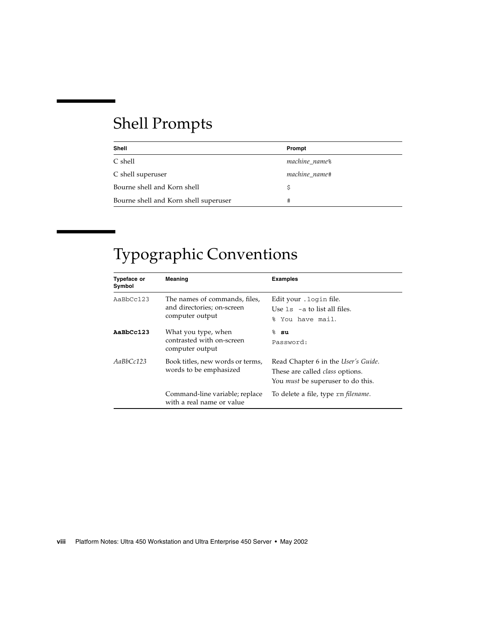# Shell Prompts

| Shell                                 | Prompt                    |
|---------------------------------------|---------------------------|
| C shell                               | machine name <sup>§</sup> |
| C shell superuser                     | machine name#             |
| Bourne shell and Korn shell           | Ŝ                         |
| Bourne shell and Korn shell superuser | #                         |

# Typographic Conventions

| <b>Typeface or</b><br>Symbol                                            | Meaning                                                                        | <b>Examples</b>                                                                                                           |  |  |
|-------------------------------------------------------------------------|--------------------------------------------------------------------------------|---------------------------------------------------------------------------------------------------------------------------|--|--|
| AaBbCc123                                                               | The names of commands, files,<br>and directories; on-screen<br>computer output | Edit your . login file.<br>Use $1s$ $-$ a to list all files.<br>You have mail.<br>ዱ                                       |  |  |
| AaBbCc123                                                               | What you type, when<br>contrasted with on-screen<br>computer output            | $8$ su<br>Password:                                                                                                       |  |  |
| AaBbCc123<br>Book titles, new words or terms,<br>words to be emphasized |                                                                                | Read Chapter 6 in the User's Guide.<br>These are called <i>class</i> options.<br>You <i>must</i> be superuser to do this. |  |  |
|                                                                         | Command-line variable; replace<br>with a real name or value                    | To delete a file, type rm filename.                                                                                       |  |  |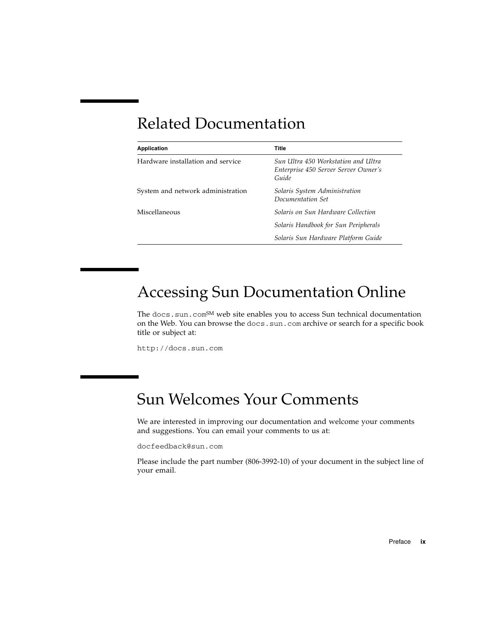# Related Documentation

| <b>Application</b>                | <b>Title</b>                                                                         |  |  |  |
|-----------------------------------|--------------------------------------------------------------------------------------|--|--|--|
| Hardware installation and service | Sun Ultra 450 Workstation and Ultra<br>Enterprise 450 Server Server Owner's<br>Guide |  |  |  |
| System and network administration | Solaris System Administration<br>Documentation Set                                   |  |  |  |
| Miscellaneous                     | Solaris on Sun Hardware Collection                                                   |  |  |  |
|                                   | Solaris Handbook for Sun Peripherals                                                 |  |  |  |
|                                   | Solaris Sun Hardware Platform Guide                                                  |  |  |  |

## Accessing Sun Documentation Online

The docs.sun.com<sup>SM</sup> web site enables you to access Sun technical documentation on the Web. You can browse the docs.sun.com archive or search for a specific book title or subject at:

http://docs.sun.com

## Sun Welcomes Your Comments

We are interested in improving our documentation and welcome your comments and suggestions. You can email your comments to us at:

docfeedback@sun.com

Please include the part number (806-3992-10) of your document in the subject line of your email.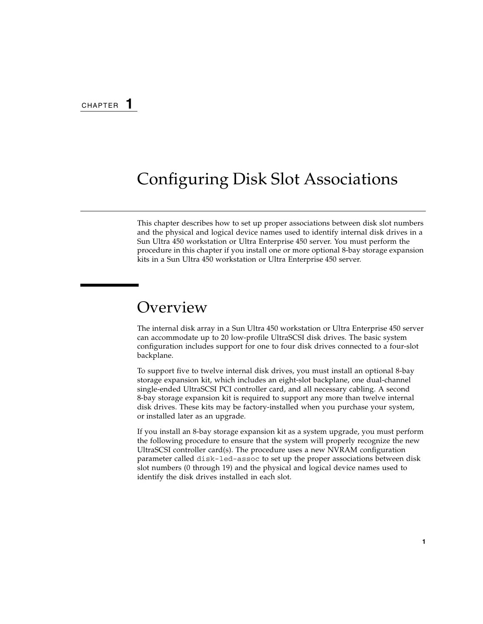# <span id="page-10-2"></span><span id="page-10-0"></span>Configuring Disk Slot Associations

This chapter describes how to set up proper associations between disk slot numbers and the physical and logical device names used to identify internal disk drives in a Sun Ultra 450 workstation or Ultra Enterprise 450 server. You must perform the procedure in this chapter if you install one or more optional 8-bay storage expansion kits in a Sun Ultra 450 workstation or Ultra Enterprise 450 server.

## <span id="page-10-1"></span>Overview

The internal disk array in a Sun Ultra 450 workstation or Ultra Enterprise 450 server can accommodate up to 20 low-profile UltraSCSI disk drives. The basic system configuration includes support for one to four disk drives connected to a four-slot backplane.

To support five to twelve internal disk drives, you must install an optional 8-bay storage expansion kit, which includes an eight-slot backplane, one dual-channel single-ended UltraSCSI PCI controller card, and all necessary cabling. A second 8-bay storage expansion kit is required to support any more than twelve internal disk drives. These kits may be factory-installed when you purchase your system, or installed later as an upgrade.

If you install an 8-bay storage expansion kit as a system upgrade, you must perform the following procedure to ensure that the system will properly recognize the new UltraSCSI controller card(s). The procedure uses a new NVRAM configuration parameter called disk-led-assoc to set up the proper associations between disk slot numbers (0 through 19) and the physical and logical device names used to identify the disk drives installed in each slot.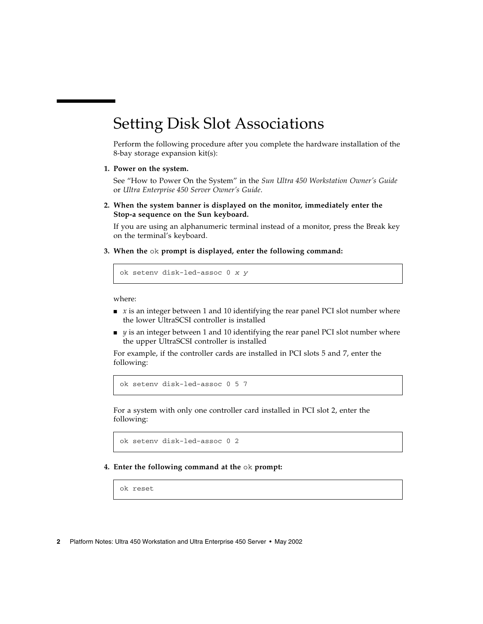## <span id="page-11-0"></span>Setting Disk Slot Associations

Perform the following procedure after you complete the hardware installation of the 8-bay storage expansion kit(s):

#### **1. Power on the system.**

See "How to Power On the System" in the *Sun Ultra 450 Workstation Owner's Guide* or *Ultra Enterprise 450 Server Owner's Guide*.

**2. When the system banner is displayed on the monitor, immediately enter the Stop-a sequence on the Sun keyboard.**

If you are using an alphanumeric terminal instead of a monitor, press the Break key on the terminal's keyboard.

**3. When the** ok **prompt is displayed, enter the following command:**

ok setenv disk-led-assoc 0 *x y*

where:

- $\bullet$  *x* is an integer between 1 and 10 identifying the rear panel PCI slot number where the lower UltraSCSI controller is installed
- *y* is an integer between 1 and 10 identifying the rear panel PCI slot number where the upper UltraSCSI controller is installed

For example, if the controller cards are installed in PCI slots 5 and 7, enter the following:

ok setenv disk-led-assoc 0 5 7

For a system with only one controller card installed in PCI slot 2, enter the following:

ok setenv disk-led-assoc 0 2

#### **4. Enter the following command at the** ok **prompt:**

ok reset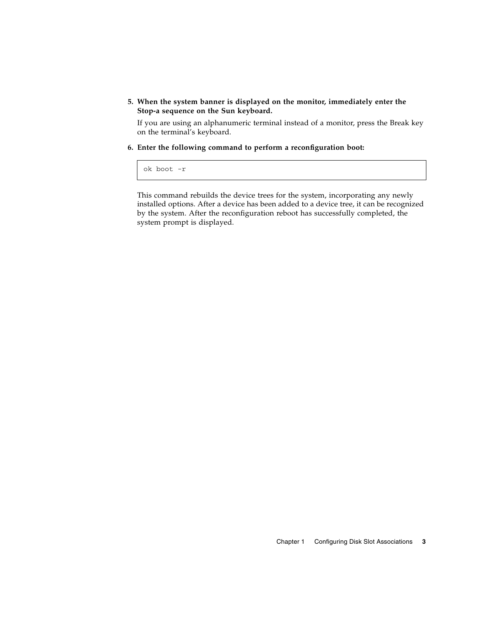#### **5. When the system banner is displayed on the monitor, immediately enter the Stop-a sequence on the Sun keyboard.**

If you are using an alphanumeric terminal instead of a monitor, press the Break key on the terminal's keyboard.

**6. Enter the following command to perform a reconfiguration boot:**

```
ok boot -r
```
This command rebuilds the device trees for the system, incorporating any newly installed options. After a device has been added to a device tree, it can be recognized by the system. After the reconfiguration reboot has successfully completed, the system prompt is displayed.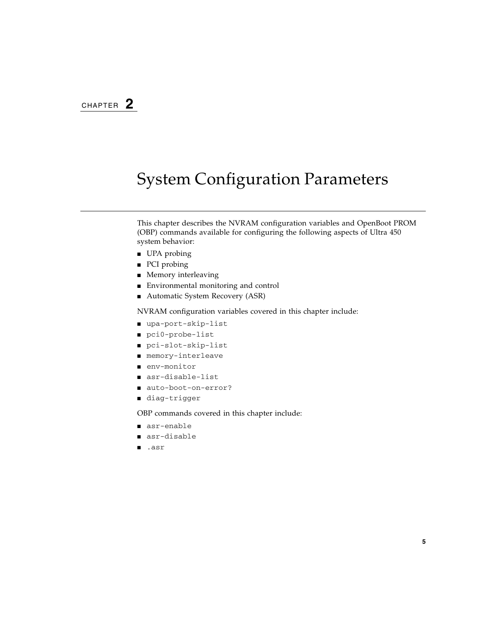# <span id="page-14-0"></span>System Configuration Parameters

This chapter describes the NVRAM configuration variables and OpenBoot PROM (OBP) commands available for configuring the following aspects of Ultra 450 system behavior:

- UPA probing
- PCI probing
- Memory interleaving
- Environmental monitoring and control
- Automatic System Recovery (ASR)

NVRAM configuration variables covered in this chapter include:

- upa-port-skip-list
- pci0-probe-list
- pci-slot-skip-list
- memory-interleave
- env-monitor
- asr-disable-list
- auto-boot-on-error?
- diag-trigger

OBP commands covered in this chapter include:

- asr-enable
- asr-disable
- .asr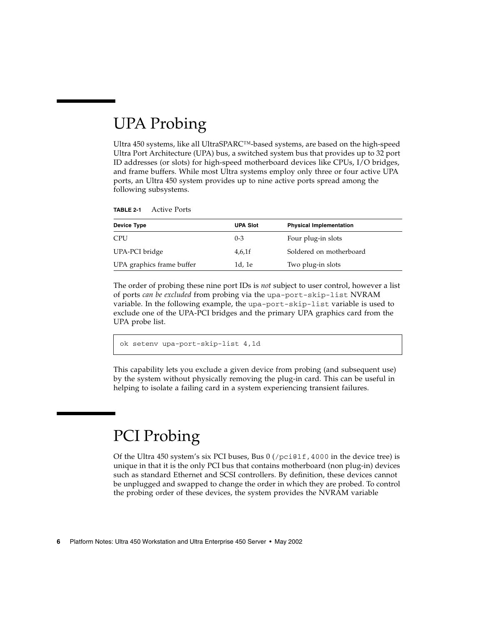# <span id="page-15-0"></span>UPA Probing

Ultra 450 systems, like all UltraSPARC™-based systems, are based on the high-speed Ultra Port Architecture (UPA) bus, a switched system bus that provides up to 32 port ID addresses (or slots) for high-speed motherboard devices like CPUs, I/O bridges, and frame buffers. While most Ultra systems employ only three or four active UPA ports, an Ultra 450 system provides up to nine active ports spread among the following subsystems.

| Device Type               | <b>UPA Slot</b> | <b>Physical Implementation</b> |
|---------------------------|-----------------|--------------------------------|
| <b>CPU</b>                | $0 - 3$         | Four plug-in slots             |
| UPA-PCI bridge            | $4,6,1$ f       | Soldered on motherboard        |
| UPA graphics frame buffer | 1d, 1e          | Two plug-in slots              |

**TABLE 2-1** Active Ports

The order of probing these nine port IDs is *not* subject to user control, however a list of ports *can be excluded* from probing via the upa-port-skip-list NVRAM variable. In the following example, the upa-port-skip-list variable is used to exclude one of the UPA-PCI bridges and the primary UPA graphics card from the UPA probe list.

```
ok setenv upa-port-skip-list 4,1d
```
This capability lets you exclude a given device from probing (and subsequent use) by the system without physically removing the plug-in card. This can be useful in helping to isolate a failing card in a system experiencing transient failures.

# <span id="page-15-1"></span>PCI Probing

Of the Ultra 450 system's six PCI buses, Bus  $0$  (/pci $0$ 1f,4000 in the device tree) is unique in that it is the only PCI bus that contains motherboard (non plug-in) devices such as standard Ethernet and SCSI controllers. By definition, these devices cannot be unplugged and swapped to change the order in which they are probed. To control the probing order of these devices, the system provides the NVRAM variable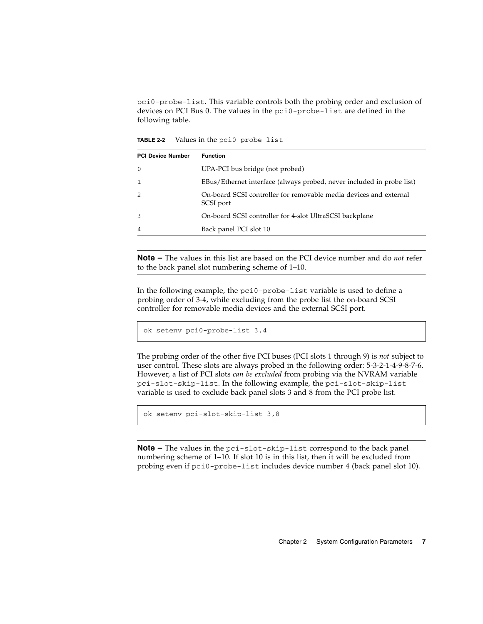pci0-probe-list. This variable controls both the probing order and exclusion of devices on PCI Bus 0. The values in the pci0-probe-list are defined in the following table.

| <b>PCI Device Number</b> | <b>Function</b>                                                                |
|--------------------------|--------------------------------------------------------------------------------|
| $\Omega$                 | UPA-PCI bus bridge (not probed)                                                |
| -1                       | EBus/Ethernet interface (always probed, never included in probe list)          |
| 2                        | On-board SCSI controller for removable media devices and external<br>SCSI port |
| 3                        | On-board SCSI controller for 4-slot UltraSCSI backplane                        |
| 4                        | Back panel PCI slot 10                                                         |
|                          |                                                                                |

**TABLE 2-2** Values in the pci0-probe-list

**Note –** The values in this list are based on the PCI device number and do *not* refer to the back panel slot numbering scheme of 1–10.

In the following example, the pci0-probe-list variable is used to define a probing order of 3-4, while excluding from the probe list the on-board SCSI controller for removable media devices and the external SCSI port.

```
ok setenv pci0-probe-list 3,4
```
The probing order of the other five PCI buses (PCI slots 1 through 9) is *not* subject to user control. These slots are always probed in the following order: 5-3-2-1-4-9-8-7-6. However, a list of PCI slots *can be excluded* from probing via the NVRAM variable pci-slot-skip-list. In the following example, the pci-slot-skip-list variable is used to exclude back panel slots 3 and 8 from the PCI probe list.

```
ok setenv pci-slot-skip-list 3,8
```
**Note –** The values in the pci-slot-skip-list correspond to the back panel numbering scheme of 1–10. If slot 10 is in this list, then it will be excluded from probing even if pci0-probe-list includes device number 4 (back panel slot 10).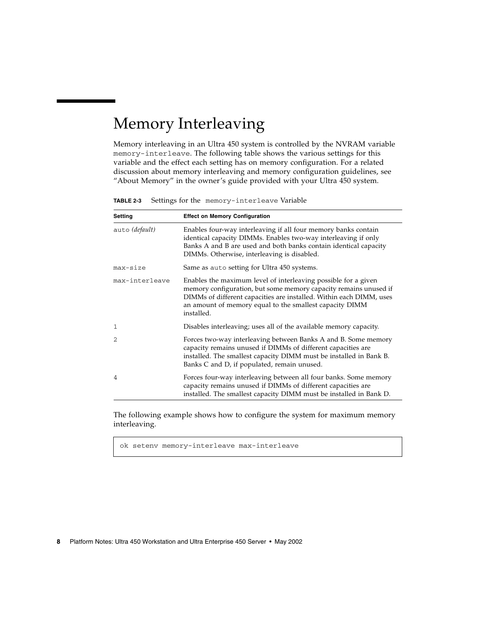# <span id="page-17-0"></span>Memory Interleaving

Memory interleaving in an Ultra 450 system is controlled by the NVRAM variable memory-interleave. The following table shows the various settings for this variable and the effect each setting has on memory configuration. For a related discussion about memory interleaving and memory configuration guidelines, see "About Memory" in the owner's guide provided with your Ultra 450 system.

| Setting        | <b>Effect on Memory Configuration</b>                                                                                                                                                                                                                                              |  |  |  |  |
|----------------|------------------------------------------------------------------------------------------------------------------------------------------------------------------------------------------------------------------------------------------------------------------------------------|--|--|--|--|
| auto (default) | Enables four-way interleaving if all four memory banks contain<br>identical capacity DIMMs. Enables two-way interleaving if only<br>Banks A and B are used and both banks contain identical capacity<br>DIMMs. Otherwise, interleaving is disabled.                                |  |  |  |  |
| max-size       | Same as auto setting for Ultra 450 systems.                                                                                                                                                                                                                                        |  |  |  |  |
| max-interleave | Enables the maximum level of interleaving possible for a given<br>memory configuration, but some memory capacity remains unused if<br>DIMMs of different capacities are installed. Within each DIMM, uses<br>an amount of memory equal to the smallest capacity DIMM<br>installed. |  |  |  |  |
| 1              | Disables interleaving; uses all of the available memory capacity.                                                                                                                                                                                                                  |  |  |  |  |
| $\mathfrak{D}$ | Forces two-way interleaving between Banks A and B. Some memory<br>capacity remains unused if DIMMs of different capacities are<br>installed. The smallest capacity DIMM must be installed in Bank B.<br>Banks C and D, if populated, remain unused.                                |  |  |  |  |
| 4              | Forces four-way interleaving between all four banks. Some memory<br>capacity remains unused if DIMMs of different capacities are<br>installed. The smallest capacity DIMM must be installed in Bank D.                                                                             |  |  |  |  |

**TABLE 2-3** Settings for the memory-interleave Variable

The following example shows how to configure the system for maximum memory interleaving.

ok setenv memory-interleave max-interleave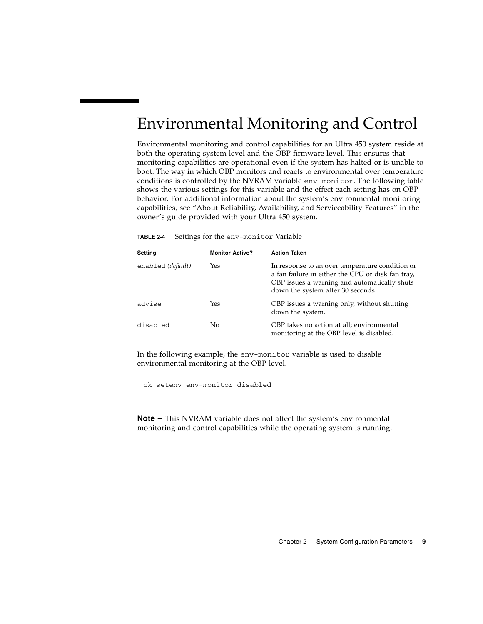# <span id="page-18-0"></span>Environmental Monitoring and Control

Environmental monitoring and control capabilities for an Ultra 450 system reside at both the operating system level and the OBP firmware level. This ensures that monitoring capabilities are operational even if the system has halted or is unable to boot. The way in which OBP monitors and reacts to environmental over temperature conditions is controlled by the NVRAM variable env-monitor. The following table shows the various settings for this variable and the effect each setting has on OBP behavior. For additional information about the system's environmental monitoring capabilities, see "About Reliability, Availability, and Serviceability Features" in the owner's guide provided with your Ultra 450 system.

| <b>Setting</b>    | <b>Monitor Active?</b> | <b>Action Taken</b>                                                                                                                                                                       |
|-------------------|------------------------|-------------------------------------------------------------------------------------------------------------------------------------------------------------------------------------------|
| enabled (default) | Yes                    | In response to an over temperature condition or<br>a fan failure in either the CPU or disk fan tray,<br>OBP issues a warning and automatically shuts<br>down the system after 30 seconds. |
| advise            | Yes                    | OBP issues a warning only, without shutting<br>down the system.                                                                                                                           |
| disabled          | No.                    | OBP takes no action at all; environmental<br>monitoring at the OBP level is disabled.                                                                                                     |

| TABLE 2-4 |  |  | Settings for the env-monitor Variable |  |
|-----------|--|--|---------------------------------------|--|
|-----------|--|--|---------------------------------------|--|

In the following example, the env-monitor variable is used to disable environmental monitoring at the OBP level.

ok setenv env-monitor disabled

**Note –** This NVRAM variable does not affect the system's environmental monitoring and control capabilities while the operating system is running.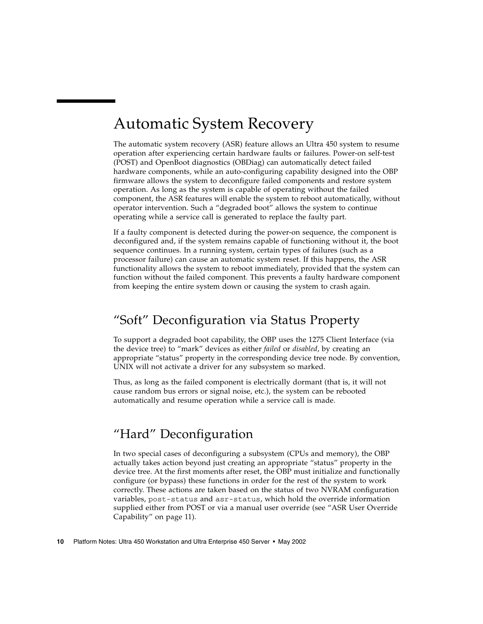# <span id="page-19-0"></span>Automatic System Recovery

The automatic system recovery (ASR) feature allows an Ultra 450 system to resume operation after experiencing certain hardware faults or failures. Power-on self-test (POST) and OpenBoot diagnostics (OBDiag) can automatically detect failed hardware components, while an auto-configuring capability designed into the OBP firmware allows the system to deconfigure failed components and restore system operation. As long as the system is capable of operating without the failed component, the ASR features will enable the system to reboot automatically, without operator intervention. Such a "degraded boot" allows the system to continue operating while a service call is generated to replace the faulty part.

If a faulty component is detected during the power-on sequence, the component is deconfigured and, if the system remains capable of functioning without it, the boot sequence continues. In a running system, certain types of failures (such as a processor failure) can cause an automatic system reset. If this happens, the ASR functionality allows the system to reboot immediately, provided that the system can function without the failed component. This prevents a faulty hardware component from keeping the entire system down or causing the system to crash again.

## <span id="page-19-1"></span>"Soft" Deconfiguration via Status Property

To support a degraded boot capability, the OBP uses the 1275 Client Interface (via the device tree) to "mark" devices as either *failed* or *disabled*, by creating an appropriate "status" property in the corresponding device tree node. By convention, UNIX will not activate a driver for any subsystem so marked.

Thus, as long as the failed component is electrically dormant (that is, it will not cause random bus errors or signal noise, etc.), the system can be rebooted automatically and resume operation while a service call is made.

## <span id="page-19-2"></span>"Hard" Deconfiguration

In two special cases of deconfiguring a subsystem (CPUs and memory), the OBP actually takes action beyond just creating an appropriate "status" property in the device tree. At the first moments after reset, the OBP must initialize and functionally configure (or bypass) these functions in order for the rest of the system to work correctly. These actions are taken based on the status of two NVRAM configuration variables, post-status and asr-status, which hold the override information supplied either from POST or via a manual user override (see ["ASR User Override](#page-20-2) [Capability" on page 11](#page-20-2)).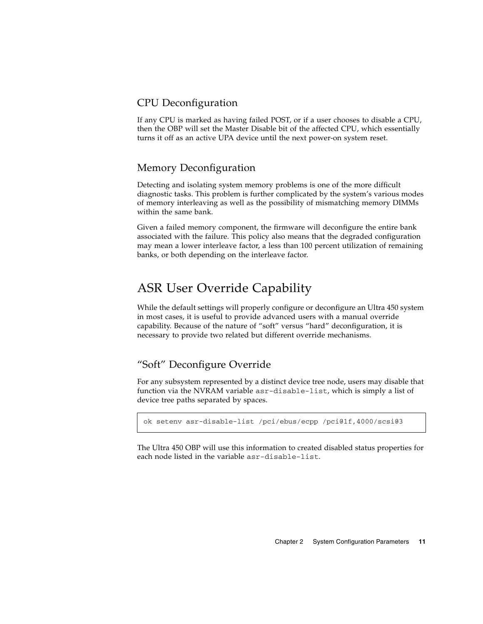### <span id="page-20-0"></span>CPU Deconfiguration

If any CPU is marked as having failed POST, or if a user chooses to disable a CPU, then the OBP will set the Master Disable bit of the affected CPU, which essentially turns it off as an active UPA device until the next power-on system reset.

### <span id="page-20-1"></span>Memory Deconfiguration

Detecting and isolating system memory problems is one of the more difficult diagnostic tasks. This problem is further complicated by the system's various modes of memory interleaving as well as the possibility of mismatching memory DIMMs within the same bank.

Given a failed memory component, the firmware will deconfigure the entire bank associated with the failure. This policy also means that the degraded configuration may mean a lower interleave factor, a less than 100 percent utilization of remaining banks, or both depending on the interleave factor.

### <span id="page-20-2"></span>ASR User Override Capability

While the default settings will properly configure or deconfigure an Ultra 450 system in most cases, it is useful to provide advanced users with a manual override capability. Because of the nature of "soft" versus "hard" deconfiguration, it is necessary to provide two related but different override mechanisms.

### <span id="page-20-3"></span>"Soft" Deconfigure Override

For any subsystem represented by a distinct device tree node, users may disable that function via the NVRAM variable asr-disable-list, which is simply a list of device tree paths separated by spaces.

ok setenv asr-disable-list /pci/ebus/ecpp /pci@1f,4000/scsi@3

The Ultra 450 OBP will use this information to created disabled status properties for each node listed in the variable asr-disable-list.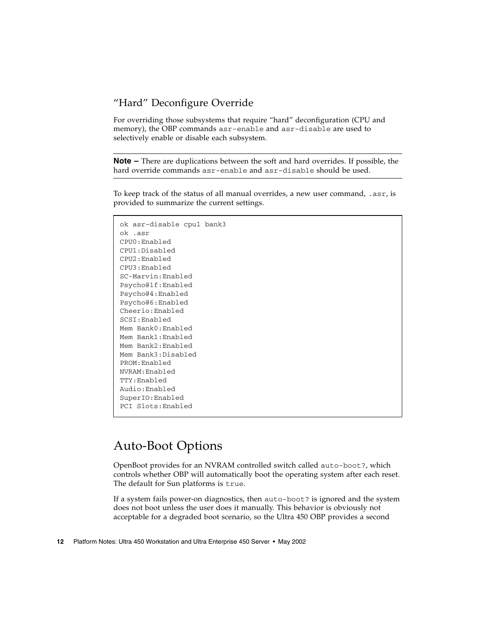### <span id="page-21-0"></span>"Hard" Deconfigure Override

For overriding those subsystems that require "hard" deconfiguration (CPU and memory), the OBP commands asr-enable and asr-disable are used to selectively enable or disable each subsystem.

**Note –** There are duplications between the soft and hard overrides. If possible, the hard override commands asr-enable and asr-disable should be used.

To keep track of the status of all manual overrides, a new user command, .asr, is provided to summarize the current settings.

```
ok asr-disable cpu1 bank3
ok .asr
CPU0:Enabled
CPU1:Disabled
CPU2:Enabled
CPU3:Enabled
SC-Marvin:Enabled
Psycho@1f:Enabled
Psycho@4:Enabled
Psycho@6:Enabled
Cheerio:Enabled
SCSI:Enabled
Mem Bank0:Enabled
Mem Bank1:Enabled
Mem Bank2:Enabled
Mem Bank3:Disabled
PROM:Enabled
NVRAM:Enabled
TTY:Enabled
Audio:Enabled
SuperIO:Enabled
PCI Slots:Enabled
```
## <span id="page-21-1"></span>Auto-Boot Options

OpenBoot provides for an NVRAM controlled switch called auto-boot?, which controls whether OBP will automatically boot the operating system after each reset. The default for Sun platforms is true.

If a system fails power-on diagnostics, then auto-boot? is ignored and the system does not boot unless the user does it manually. This behavior is obviously not acceptable for a degraded boot scenario, so the Ultra 450 OBP provides a second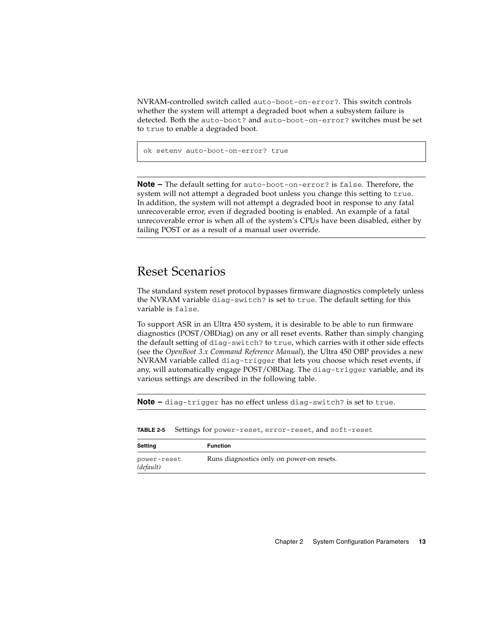NVRAM-controlled switch called auto-boot-on-error?. This switch controls whether the system will attempt a degraded boot when a subsystem failure is detected. Both the auto-boot? and auto-boot-on-error? switches must be set to true to enable a degraded boot.

```
ok setenv auto-boot-on-error? true
```
**Note –** The default setting for auto-boot-on-error? is false. Therefore, the system will not attempt a degraded boot unless you change this setting to true. In addition, the system will not attempt a degraded boot in response to any fatal unrecoverable error, even if degraded booting is enabled. An example of a fatal unrecoverable error is when all of the system's CPUs have been disabled, either by failing POST or as a result of a manual user override.

### <span id="page-22-0"></span>Reset Scenarios

The standard system reset protocol bypasses firmware diagnostics completely unless the NVRAM variable diag-switch? is set to true. The default setting for this variable is false.

To support ASR in an Ultra 450 system, it is desirable to be able to run firmware diagnostics (POST/OBDiag) on any or all reset events. Rather than simply changing the default setting of diag-switch? to true, which carries with it other side effects (see the *OpenBoot 3.x Command Reference Manual*), the Ultra 450 OBP provides a new NVRAM variable called diag-trigger that lets you choose which reset events, if any, will automatically engage POST/OBDiag. The diag-trigger variable, and its various settings are described in the following table.

**Note –** diag-trigger has no effect unless diag-switch? is set to true.

| Setting                  | <b>Function</b>                           |
|--------------------------|-------------------------------------------|
| power-reset<br>(default) | Runs diagnostics only on power-on resets. |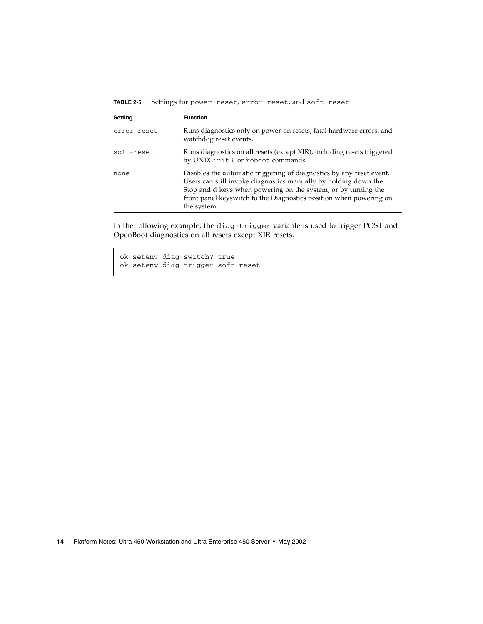| <b>TABLE 2-5</b> |  | Settings for power-reset, error-reset, and soft-reset |  |  |  |  |  |  |  |
|------------------|--|-------------------------------------------------------|--|--|--|--|--|--|--|
|------------------|--|-------------------------------------------------------|--|--|--|--|--|--|--|

| <b>Setting</b> | <b>Function</b>                                                                                                                                                                                                                                                                                |
|----------------|------------------------------------------------------------------------------------------------------------------------------------------------------------------------------------------------------------------------------------------------------------------------------------------------|
| error-reset    | Runs diagnostics only on power-on resets, fatal hardware errors, and<br>watchdog reset events.                                                                                                                                                                                                 |
| soft-reset     | Runs diagnostics on all resets (except XIR), including resets triggered<br>by UNIX init 6 or reboot commands.                                                                                                                                                                                  |
| none           | Disables the automatic triggering of diagnostics by any reset event.<br>Users can still invoke diagnostics manually by holding down the<br>Stop and d keys when powering on the system, or by turning the<br>front panel keyswitch to the Diagnostics position when powering on<br>the system. |

In the following example, the diag-trigger variable is used to trigger POST and OpenBoot diagnostics on all resets except XIR resets.

ok setenv diag-switch? true ok setenv diag-trigger soft-reset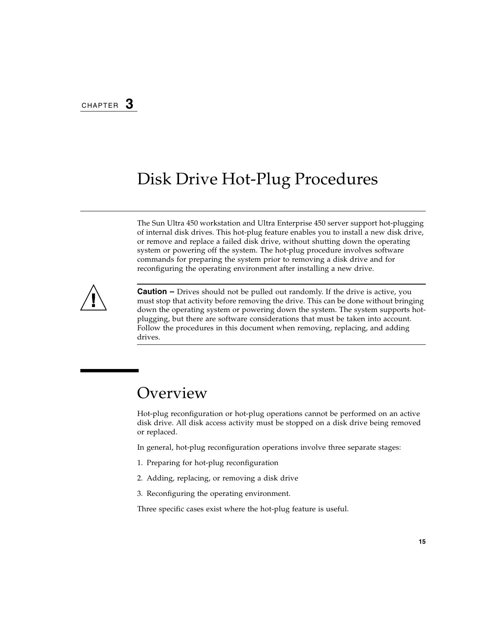## <span id="page-24-0"></span>Disk Drive Hot-Plug Procedures

The Sun Ultra 450 workstation and Ultra Enterprise 450 server support hot-plugging of internal disk drives. This hot-plug feature enables you to install a new disk drive, or remove and replace a failed disk drive, without shutting down the operating system or powering off the system. The hot-plug procedure involves software commands for preparing the system prior to removing a disk drive and for reconfiguring the operating environment after installing a new drive.



**Caution –** Drives should not be pulled out randomly. If the drive is active, you must stop that activity before removing the drive. This can be done without bringing down the operating system or powering down the system. The system supports hotplugging, but there are software considerations that must be taken into account. Follow the procedures in this document when removing, replacing, and adding drives.

## <span id="page-24-1"></span>Overview

Hot-plug reconfiguration or hot-plug operations cannot be performed on an active disk drive. All disk access activity must be stopped on a disk drive being removed or replaced.

In general, hot-plug reconfiguration operations involve three separate stages:

- 1. Preparing for hot-plug reconfiguration
- 2. Adding, replacing, or removing a disk drive
- 3. Reconfiguring the operating environment.

Three specific cases exist where the hot-plug feature is useful.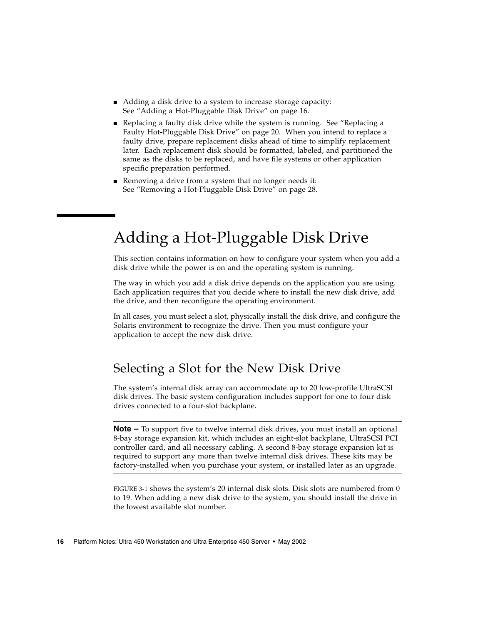- Adding a disk drive to a system to increase storage capacity: See ["Adding a Hot-Pluggable Disk Drive" on page 16.](#page-25-0)
- Replacing a faulty disk drive while the system is running. See ["Replacing a](#page-29-1) [Faulty Hot-Pluggable Disk Drive" on page 20.](#page-29-1) When you intend to replace a faulty drive, prepare replacement disks ahead of time to simplify replacement later. Each replacement disk should be formatted, labeled, and partitioned the same as the disks to be replaced, and have file systems or other application specific preparation performed.
- Removing a drive from a system that no longer needs it: See ["Removing a Hot-Pluggable Disk Drive" on page 28](#page-37-0).

# <span id="page-25-0"></span>Adding a Hot-Pluggable Disk Drive

This section contains information on how to configure your system when you add a disk drive while the power is on and the operating system is running.

The way in which you add a disk drive depends on the application you are using. Each application requires that you decide where to install the new disk drive, add the drive, and then reconfigure the operating environment.

In all cases, you must select a slot, physically install the disk drive, and configure the Solaris environment to recognize the drive. Then you must configure your application to accept the new disk drive.

## <span id="page-25-1"></span>Selecting a Slot for the New Disk Drive

The system's internal disk array can accommodate up to 20 low-profile UltraSCSI disk drives. The basic system configuration includes support for one to four disk drives connected to a four-slot backplane.

**Note –** To support five to twelve internal disk drives, you must install an optional 8-bay storage expansion kit, which includes an eight-slot backplane, UltraSCSI PCI controller card, and all necessary cabling. A second 8-bay storage expansion kit is required to support any more than twelve internal disk drives. These kits may be factory-installed when you purchase your system, or installed later as an upgrade.

[FIGURE 3-1](#page-26-2) shows the system's 20 internal disk slots. Disk slots are numbered from 0 to 19. When adding a new disk drive to the system, you should install the drive in the lowest available slot number.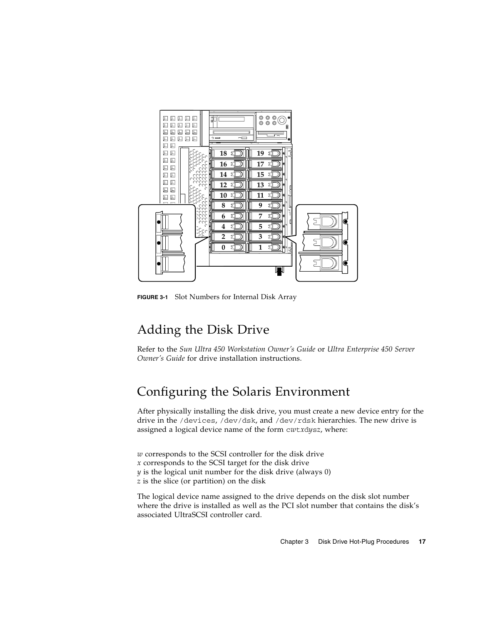

**FIGURE 3-1** Slot Numbers for Internal Disk Array

## <span id="page-26-2"></span><span id="page-26-0"></span>Adding the Disk Drive

Refer to the *Sun Ultra 450 Workstation Owner's Guide* or *Ultra Enterprise 450 Server Owner's Guide* for drive installation instructions.

## <span id="page-26-1"></span>Configuring the Solaris Environment

After physically installing the disk drive, you must create a new device entry for the drive in the /devices, /dev/dsk, and /dev/rdsk hierarchies. The new drive is assigned a logical device name of the form c*w*t*x*d*y*s*z*, where:

*w* corresponds to the SCSI controller for the disk drive *x* corresponds to the SCSI target for the disk drive *y* is the logical unit number for the disk drive (always 0)

*z* is the slice (or partition) on the disk

The logical device name assigned to the drive depends on the disk slot number where the drive is installed as well as the PCI slot number that contains the disk's associated UltraSCSI controller card.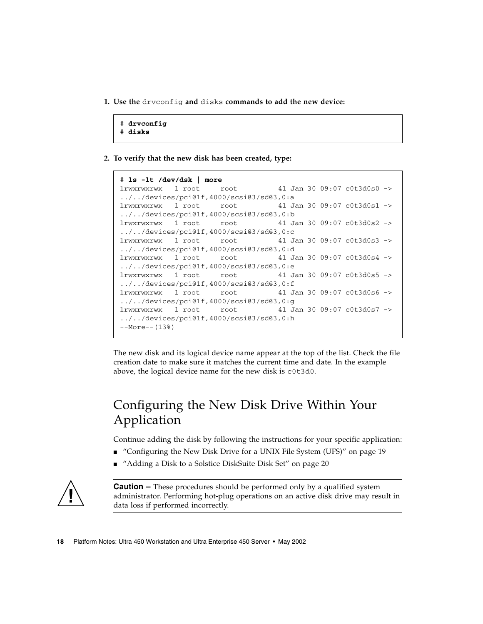<span id="page-27-1"></span>**1. Use the** drvconfig **and** disks **commands to add the new device:**

```
# drvconfig
# disks
```
**2. To verify that the new disk has been created, type:**

```
# ls -lt /dev/dsk | more
lrwxrwxrwx 1 root root 41 Jan 30 09:07 c0t3d0s0 ->
../../devices/pci@1f,4000/scsi@3/sd@3,0:a
lrwxrwxrwx 1 root root 41 Jan 30 09:07 c0t3d0s1 ->
../../devices/pci@1f,4000/scsi@3/sd@3,0:b
lrwxrwxrwx 1 root root 41 Jan 30 09:07 c0t3d0s2 ->
../../devices/pci@1f,4000/scsi@3/sd@3,0:c
lrwxrwxrwx 1 root root 41 Jan 30 09:07 c0t3d0s3 ->
../../devices/pci@1f,4000/scsi@3/sd@3,0:d
lrwxrwxrwx 1 root root 41 Jan 30 09:07 c0t3d0s4 ->
../../devices/pci@1f,4000/scsi@3/sd@3,0:e
lrwxrwxrwx 1 root root 41 Jan 30 09:07 c0t3d0s5 ->
../../devices/pci@1f,4000/scsi@3/sd@3,0:f
lrwxrwxrwx 1 root root 41 Jan 30 09:07 c0t3d0s6 ->
../../devices/pci@1f,4000/scsi@3/sd@3,0:g
lrwxrwxrwx 1 root root 41 Jan 30 09:07 c0t3d0s7 ->
../../devices/pci@1f,4000/scsi@3/sd@3,0:h
--More--(13%)
```
The new disk and its logical device name appear at the top of the list. Check the file creation date to make sure it matches the current time and date. In the example above, the logical device name for the new disk is c0t3d0.

## <span id="page-27-0"></span>Configuring the New Disk Drive Within Your Application

Continue adding the disk by following the instructions for your specific application:

- ["Configuring the New Disk Drive for a UNIX File System \(UFS\)" on page 19](#page-28-0)
- ["Adding a Disk to a Solstice DiskSuite Disk Set" on page 20](#page-29-0)

**Caution –** These procedures should be performed only by a qualified system administrator. Performing hot-plug operations on an active disk drive may result in data loss if performed incorrectly.

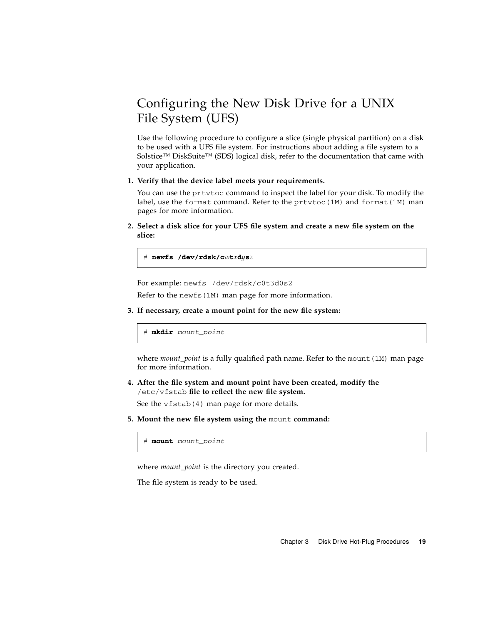## <span id="page-28-0"></span>Configuring the New Disk Drive for a UNIX File System (UFS)

Use the following procedure to configure a slice (single physical partition) on a disk to be used with a UFS file system. For instructions about adding a file system to a Solstice™ DiskSuite™ (SDS) logical disk, refer to the documentation that came with your application.

#### **1. Verify that the device label meets your requirements.**

You can use the prtvtoc command to inspect the label for your disk. To modify the label, use the format command. Refer to the  $prt$ vtoc(1M) and format(1M) man pages for more information.

**2. Select a disk slice for your UFS file system and create a new file system on the slice:**

# **newfs /dev/rdsk/c***w***t***x***d***y***s***z*

For example: newfs /dev/rdsk/c0t3d0s2

Refer to the newfs(1M) man page for more information.

**3. If necessary, create a mount point for the new file system:**

# **mkdir** *mount\_point*

where *mount\_point* is a fully qualified path name. Refer to the mount (1M) man page for more information.

**4. After the file system and mount point have been created, modify the** /etc/vfstab **file to reflect the new file system.**

See the vfstab(4) man page for more details.

**5. Mount the new file system using the** mount **command:**

# **mount** *mount\_point*

where *mount* point is the directory you created.

The file system is ready to be used.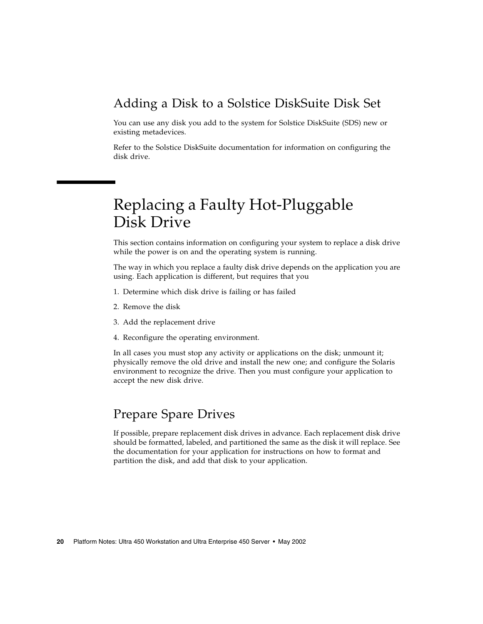### <span id="page-29-0"></span>Adding a Disk to a Solstice DiskSuite Disk Set

You can use any disk you add to the system for Solstice DiskSuite (SDS) new or existing metadevices.

Refer to the Solstice DiskSuite documentation for information on configuring the disk drive.

## <span id="page-29-1"></span>Replacing a Faulty Hot-Pluggable Disk Drive

This section contains information on configuring your system to replace a disk drive while the power is on and the operating system is running.

The way in which you replace a faulty disk drive depends on the application you are using. Each application is different, but requires that you

- 1. Determine which disk drive is failing or has failed
- 2. Remove the disk
- 3. Add the replacement drive
- 4. Reconfigure the operating environment.

In all cases you must stop any activity or applications on the disk; unmount it; physically remove the old drive and install the new one; and configure the Solaris environment to recognize the drive. Then you must configure your application to accept the new disk drive.

### <span id="page-29-2"></span>Prepare Spare Drives

If possible, prepare replacement disk drives in advance. Each replacement disk drive should be formatted, labeled, and partitioned the same as the disk it will replace. See the documentation for your application for instructions on how to format and partition the disk, and add that disk to your application.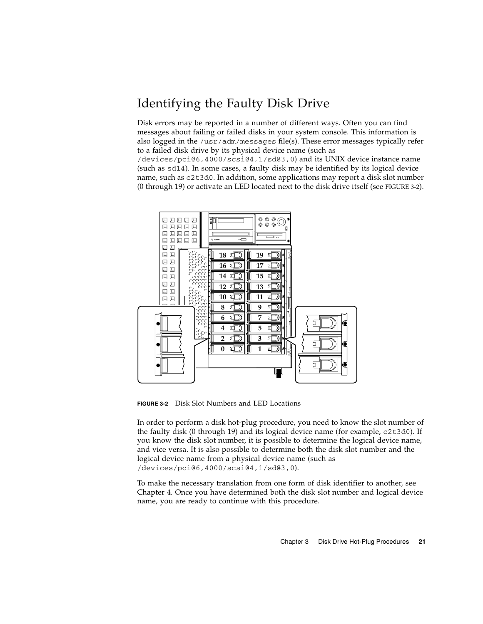## <span id="page-30-0"></span>Identifying the Faulty Disk Drive

Disk errors may be reported in a number of different ways. Often you can find messages about failing or failed disks in your system console. This information is also logged in the /usr/adm/messages file(s). These error messages typically refer to a failed disk drive by its physical device name (such as

/devices/pci@6,4000/scsi@4,1/sd@3,0) and its UNIX device instance name (such as sd14). In some cases, a faulty disk may be identified by its logical device name, such as c2t3d0. In addition, some applications may report a disk slot number (0 through 19) or activate an LED located next to the disk drive itself (see [FIGURE 3-2\)](#page-30-1).



<span id="page-30-1"></span>**FIGURE 3-2** Disk Slot Numbers and LED Locations

In order to perform a disk hot-plug procedure, you need to know the slot number of the faulty disk (0 through 19) and its logical device name (for example, c2t3d0). If you know the disk slot number, it is possible to determine the logical device name, and vice versa. It is also possible to determine both the disk slot number and the logical device name from a physical device name (such as /devices/pci@6,4000/scsi@4,1/sd@3,0).

To make the necessary translation from one form of disk identifier to another, see [Chapter 4.](#page-44-2) Once you have determined both the disk slot number and logical device name, you are ready to continue with this procedure.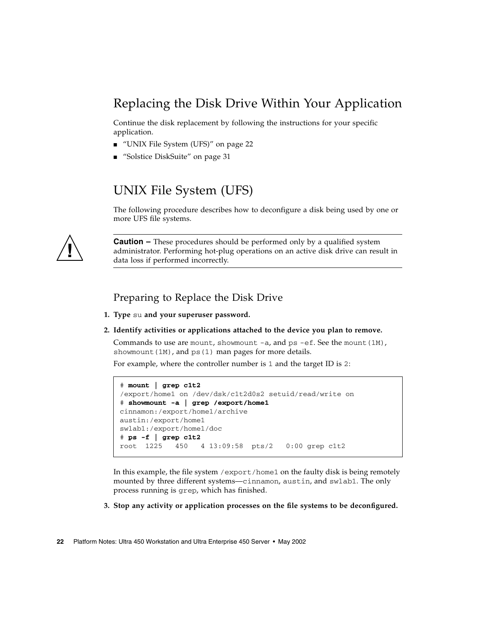## <span id="page-31-0"></span>Replacing the Disk Drive Within Your Application

Continue the disk replacement by following the instructions for your specific application.

- ["UNIX File System \(UFS\)" on page 22](#page-31-1)
- ["Solstice DiskSuite" on page 31](#page-40-1)

### UNIX File System (UFS)

The following procedure describes how to deconfigure a disk being used by one or more UFS file systems.

<span id="page-31-1"></span>

**Caution –** These procedures should be performed only by a qualified system administrator. Performing hot-plug operations on an active disk drive can result in data loss if performed incorrectly.

### Preparing to Replace the Disk Drive

- <span id="page-31-2"></span>**1. Type** su **and your superuser password.**
- **2. Identify activities or applications attached to the device you plan to remove.**

Commands to use are mount, showmount  $-a$ , and ps  $-e$ f. See the mount (1M), showmount  $(1M)$ , and ps $(1)$  man pages for more details.

For example, where the controller number is 1 and the target ID is 2:

```
# mount | grep c1t2
/export/home1 on /dev/dsk/c1t2d0s2 setuid/read/write on
# showmount -a | grep /export/home1
cinnamon:/export/home1/archive
austin:/export/home1
swlab1:/export/home1/doc
# ps -f | grep c1t2
root 1225 450 4 13:09:58 pts/2 0:00 grep c1t2
```
In this example, the file system /export/home1 on the faulty disk is being remotely mounted by three different systems—cinnamon, austin, and swlab1. The only process running is grep, which has finished.

**3. Stop any activity or application processes on the file systems to be deconfigured.**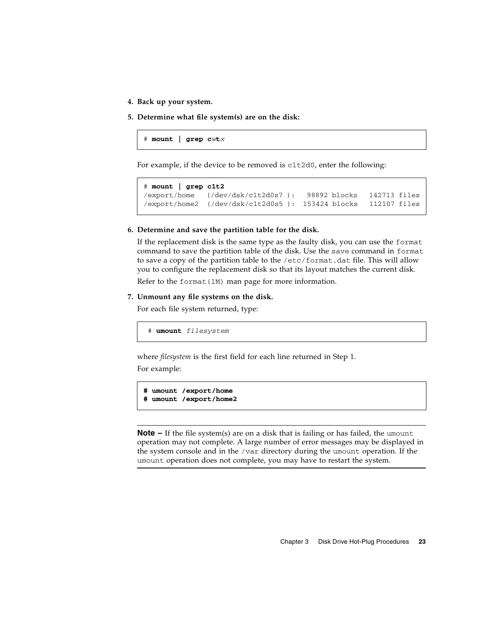- **4. Back up your system.**
- **5. Determine what file system(s) are on the disk:**

# **mount | grep c***w***t***x*

For example, if the device to be removed is c1t2d0, enter the following:

```
# mount | grep c1t2
/export/home (/dev/dsk/c1t2d0s7 ): 98892 blocks 142713 files
/export/home2 (/dev/dsk/c1t2d0s5 ): 153424 blocks 112107 files
```
#### **6. Determine and save the partition table for the disk.**

If the replacement disk is the same type as the faulty disk, you can use the format command to save the partition table of the disk. Use the save command in format to save a copy of the partition table to the /etc/format.dat file. This will allow you to configure the replacement disk so that its layout matches the current disk.

Refer to the format $(1M)$  man page for more information.

#### **7. Unmount any file systems on the disk.**

For each file system returned, type:

# **umount** *filesystem*

where *filesystem* is the first field for each line returned in [Step 1.](#page-27-1)

For example:

```
# umount /export/home
# umount /export/home2
```
**Note –** If the file system(s) are on a disk that is failing or has failed, the umount operation may not complete. A large number of error messages may be displayed in the system console and in the /var directory during the umount operation. If the umount operation does not complete, you may have to restart the system.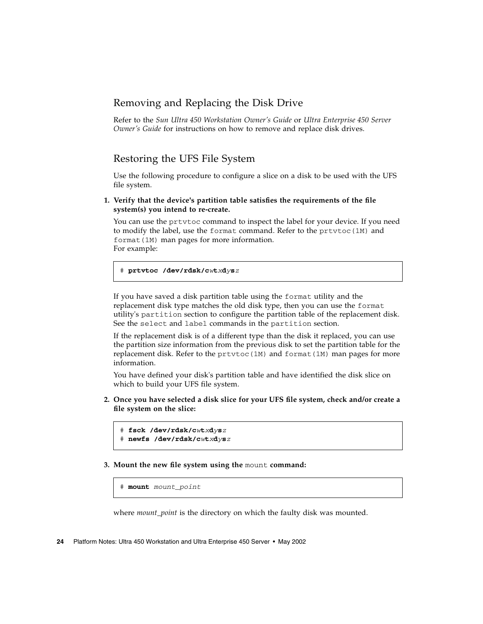### <span id="page-33-0"></span>Removing and Replacing the Disk Drive

Refer to the *Sun Ultra 450 Workstation Owner's Guide* or *Ultra Enterprise 450 Server Owner's Guide* for instructions on how to remove and replace disk drives.

### <span id="page-33-1"></span>Restoring the UFS File System

Use the following procedure to configure a slice on a disk to be used with the UFS file system.

**1. Verify that the device's partition table satisfies the requirements of the file system(s) you intend to re-create.**

You can use the prtvtoc command to inspect the label for your device. If you need to modify the label, use the format command. Refer to the prtvtoc(1M) and format(1M) man pages for more information. For example:

```
# prtvtoc /dev/rdsk/cwtxdysz
```
If you have saved a disk partition table using the format utility and the replacement disk type matches the old disk type, then you can use the format utility's partition section to configure the partition table of the replacement disk. See the select and label commands in the partition section.

If the replacement disk is of a different type than the disk it replaced, you can use the partition size information from the previous disk to set the partition table for the replacement disk. Refer to the  $prtvtoc(1M)$  and format(1M) man pages for more information.

You have defined your disk's partition table and have identified the disk slice on which to build your UFS file system.

**2. Once you have selected a disk slice for your UFS file system, check and/or create a file system on the slice:**

```
# fsck /dev/rdsk/cwtxdysz
```

```
# newfs /dev/rdsk/cwtxdysz
```
**3. Mount the new file system using the** mount **command:**

```
# mount mount_point
```
where *mount\_point* is the directory on which the faulty disk was mounted.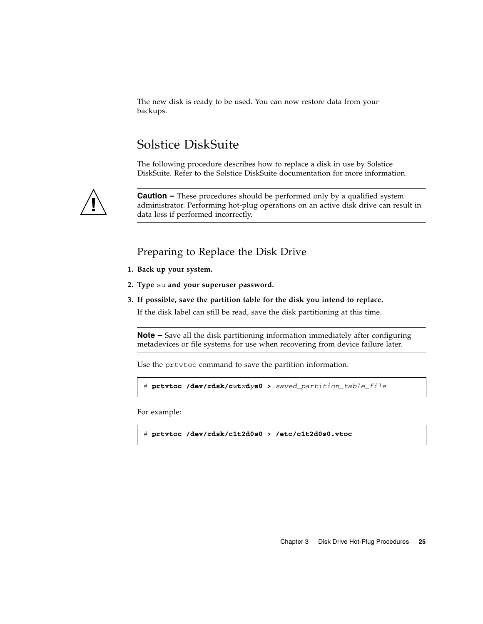The new disk is ready to be used. You can now restore data from your backups.

## Solstice DiskSuite

The following procedure describes how to replace a disk in use by Solstice DiskSuite. Refer to the Solstice DiskSuite documentation for more information.

<span id="page-34-0"></span>

**Caution –** These procedures should be performed only by a qualified system administrator. Performing hot-plug operations on an active disk drive can result in data loss if performed incorrectly.

### Preparing to Replace the Disk Drive

- <span id="page-34-1"></span>**1. Back up your system.**
- **2. Type** su **and your superuser password.**
- **3. If possible, save the partition table for the disk you intend to replace.** If the disk label can still be read, save the disk partitioning at this time.

**Note –** Save all the disk partitioning information immediately after configuring metadevices or file systems for use when recovering from device failure later.

Use the prtvtoc command to save the partition information.

```
# prtvtoc /dev/rdsk/cwtxdys0 > saved_partition_table_file
```
For example:

# **prtvtoc /dev/rdsk/c1t2d0s0 > /etc/c1t2d0s0.vtoc**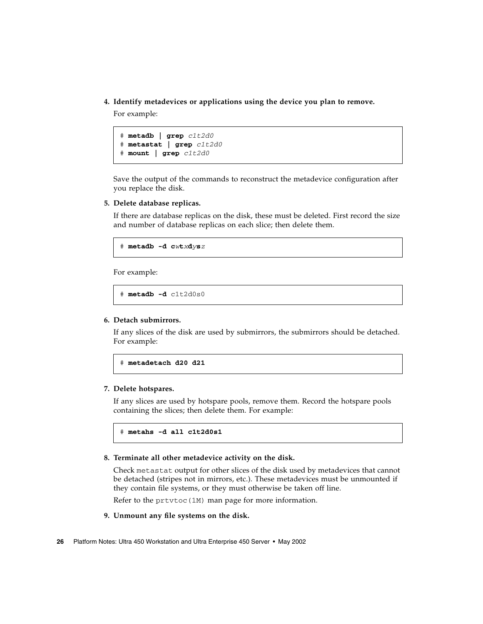**4. Identify metadevices or applications using the device you plan to remove.**

For example:

# **metadb | grep** *c1t2d0* # **metastat | grep** *c1t2d0* # **mount | grep** *c1t2d0*

Save the output of the commands to reconstruct the metadevice configuration after you replace the disk.

#### **5. Delete database replicas.**

If there are database replicas on the disk, these must be deleted. First record the size and number of database replicas on each slice; then delete them.

# **metadb -d c***w***t***x***d***y***s***z*

For example:

# **metadb -d** c1t2d0s0

#### **6. Detach submirrors.**

If any slices of the disk are used by submirrors, the submirrors should be detached. For example:

# **metadetach d20 d21**

#### **7. Delete hotspares.**

If any slices are used by hotspare pools, remove them. Record the hotspare pools containing the slices; then delete them. For example:

# **metahs -d all c1t2d0s1**

#### **8. Terminate all other metadevice activity on the disk.**

Check metastat output for other slices of the disk used by metadevices that cannot be detached (stripes not in mirrors, etc.). These metadevices must be unmounted if they contain file systems, or they must otherwise be taken off line.

Refer to the  $pr$ tvtoc $(1M)$  man page for more information.

#### **9. Unmount any file systems on the disk.**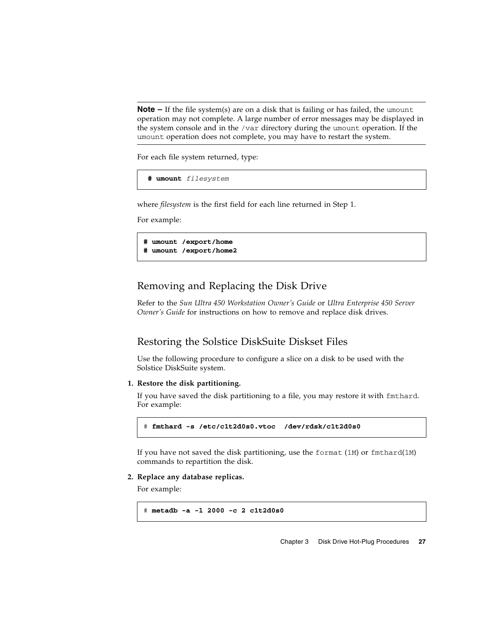**Note –** If the file system(s) are on a disk that is failing or has failed, the umount operation may not complete. A large number of error messages may be displayed in the system console and in the /var directory during the umount operation. If the umount operation does not complete, you may have to restart the system.

For each file system returned, type:

```
 # umount filesystem
```
where *filesystem* is the first field for each line returned in [Step 1.](#page-27-1)

For example:

```
# umount /export/home
# umount /export/home2
```
### <span id="page-36-0"></span>Removing and Replacing the Disk Drive

Refer to the *Sun Ultra 450 Workstation Owner's Guide* or *Ultra Enterprise 450 Server Owner's Guide* for instructions on how to remove and replace disk drives.

### <span id="page-36-1"></span>Restoring the Solstice DiskSuite Diskset Files

Use the following procedure to configure a slice on a disk to be used with the Solstice DiskSuite system.

#### **1. Restore the disk partitioning.**

If you have saved the disk partitioning to a file, you may restore it with fmthard. For example:

```
# fmthard -s /etc/c1t2d0s0.vtoc /dev/rdsk/c1t2d0s0
```
If you have not saved the disk partitioning, use the format  $(1M)$  or fmthard $(1M)$ commands to repartition the disk.

#### **2. Replace any database replicas.**

For example:

```
# metadb -a -l 2000 -c 2 c1t2d0s0
```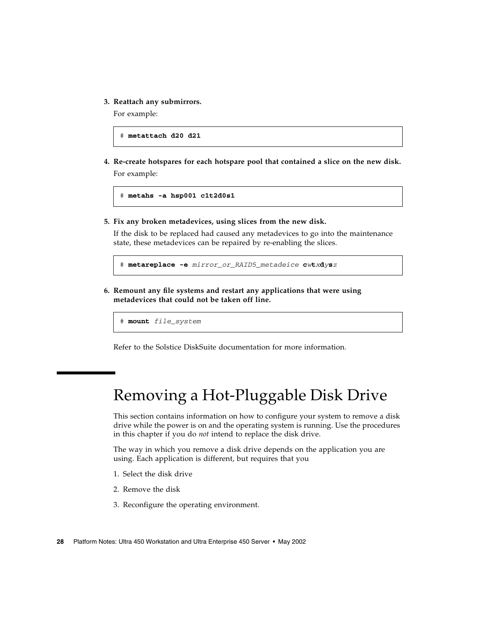**3. Reattach any submirrors.**

For example:

# **metattach d20 d21**

**4. Re-create hotspares for each hotspare pool that contained a slice on the new disk.** For example:

```
# metahs -a hsp001 c1t2d0s1
```
**5. Fix any broken metadevices, using slices from the new disk.**

If the disk to be replaced had caused any metadevices to go into the maintenance state, these metadevices can be repaired by re-enabling the slices.

# **metareplace -e** *mirror\_or\_RAID5\_metadeice* **c***w***t***x***d***y***s***z*

**6. Remount any file systems and restart any applications that were using metadevices that could not be taken off line.**

# **mount** *file\_system*

Refer to the Solstice DiskSuite documentation for more information.

# <span id="page-37-0"></span>Removing a Hot-Pluggable Disk Drive

This section contains information on how to configure your system to remove a disk drive while the power is on and the operating system is running. Use the procedures in this chapter if you do *not* intend to replace the disk drive.

The way in which you remove a disk drive depends on the application you are using. Each application is different, but requires that you

- 1. Select the disk drive
- 2. Remove the disk
- 3. Reconfigure the operating environment.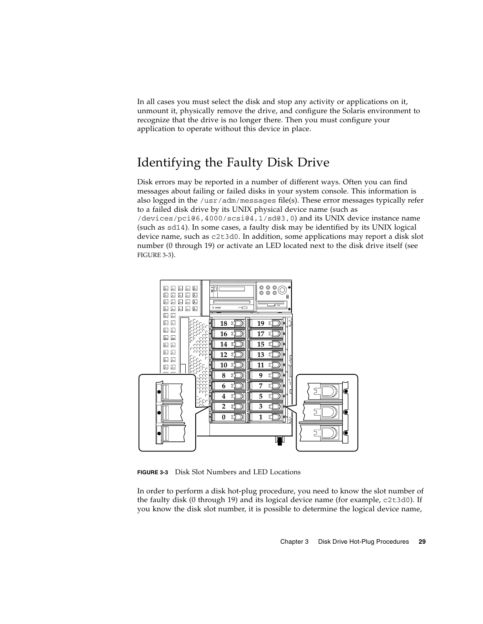In all cases you must select the disk and stop any activity or applications on it, unmount it, physically remove the drive, and configure the Solaris environment to recognize that the drive is no longer there. Then you must configure your application to operate without this device in place.

## <span id="page-38-0"></span>Identifying the Faulty Disk Drive

Disk errors may be reported in a number of different ways. Often you can find messages about failing or failed disks in your system console. This information is also logged in the /usr/adm/messages file(s). These error messages typically refer to a failed disk drive by its UNIX physical device name (such as /devices/pci@6,4000/scsi@4,1/sd@3,0) and its UNIX device instance name (such as sd14). In some cases, a faulty disk may be identified by its UNIX logical device name, such as c2t3d0. In addition, some applications may report a disk slot number (0 through 19) or activate an LED located next to the disk drive itself (see [FIGURE 3-3](#page-38-1)).



<span id="page-38-1"></span>**FIGURE 3-3** Disk Slot Numbers and LED Locations

In order to perform a disk hot-plug procedure, you need to know the slot number of the faulty disk (0 through 19) and its logical device name (for example, c2t3d0). If you know the disk slot number, it is possible to determine the logical device name,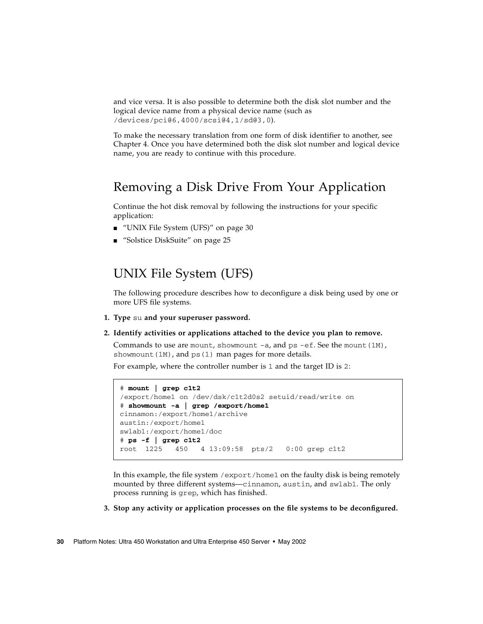and vice versa. It is also possible to determine both the disk slot number and the logical device name from a physical device name (such as /devices/pci@6,4000/scsi@4,1/sd@3,0).

To make the necessary translation from one form of disk identifier to another, see [Chapter 4.](#page-44-2) Once you have determined both the disk slot number and logical device name, you are ready to continue with this procedure.

### <span id="page-39-0"></span>Removing a Disk Drive From Your Application

Continue the hot disk removal by following the instructions for your specific application:

- ["UNIX File System \(UFS\)" on page 30](#page-39-1)
- ["Solstice DiskSuite" on page 25](#page-34-0)

### <span id="page-39-1"></span>UNIX File System (UFS)

The following procedure describes how to deconfigure a disk being used by one or more UFS file systems.

- **1. Type** su **and your superuser password.**
- **2. Identify activities or applications attached to the device you plan to remove.**

Commands to use are mount, showmount  $-a$ , and  $ps$  -ef. See the mount (1M), showmount  $(1M)$ , and ps $(1)$  man pages for more details.

For example, where the controller number is 1 and the target ID is 2:

```
# mount | grep c1t2
/export/home1 on /dev/dsk/c1t2d0s2 setuid/read/write on
# showmount -a | grep /export/home1
cinnamon:/export/home1/archive
austin:/export/home1
swlab1:/export/home1/doc
# ps -f | grep c1t2
root 1225 450 4 13:09:58 pts/2 0:00 grep c1t2
```
In this example, the file system /export/home1 on the faulty disk is being remotely mounted by three different systems—cinnamon, austin, and swlab1. The only process running is grep, which has finished.

#### **3. Stop any activity or application processes on the file systems to be deconfigured.**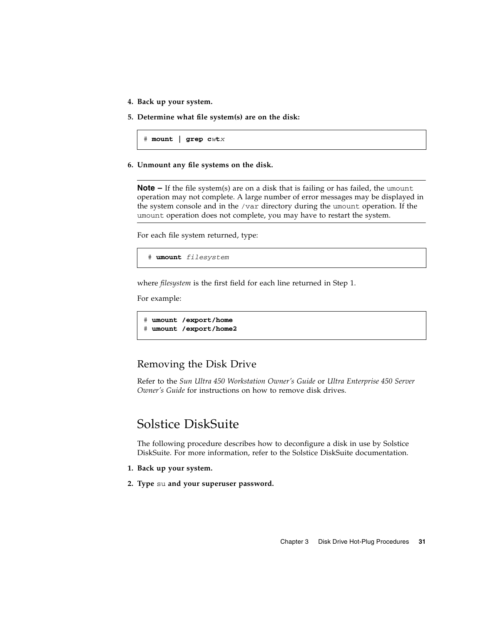- **4. Back up your system.**
- **5. Determine what file system(s) are on the disk:**

# **mount | grep c***w***t***x*

**6. Unmount any file systems on the disk.**

**Note –** If the file system(s) are on a disk that is failing or has failed, the umount operation may not complete. A large number of error messages may be displayed in the system console and in the /var directory during the umount operation. If the umount operation does not complete, you may have to restart the system.

For each file system returned, type:

# **umount** *filesystem*

where *filesystem* is the first field for each line returned in [Step 1.](#page-27-1)

For example:

```
# umount /export/home
# umount /export/home2
```
### <span id="page-40-0"></span>Removing the Disk Drive

Refer to the *Sun Ultra 450 Workstation Owner's Guide* or *Ultra Enterprise 450 Server Owner's Guide* for instructions on how to remove disk drives.

### <span id="page-40-1"></span>Solstice DiskSuite

The following procedure describes how to deconfigure a disk in use by Solstice DiskSuite. For more information, refer to the Solstice DiskSuite documentation.

- **1. Back up your system.**
- **2. Type** su **and your superuser password.**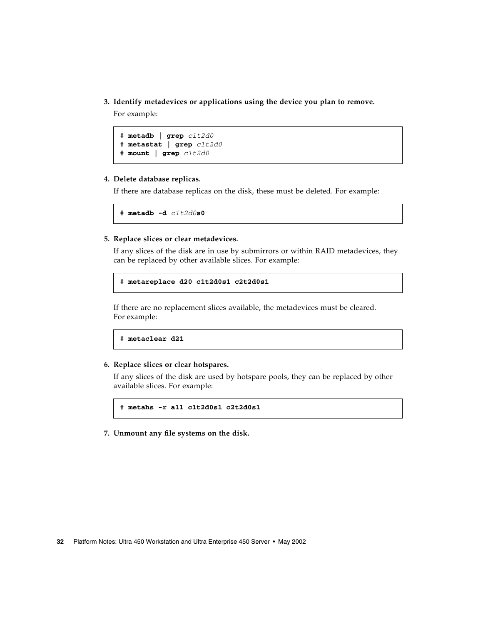**3. Identify metadevices or applications using the device you plan to remove.**

For example:

```
# metadb | grep c1t2d0
# metastat | grep c1t2d0
# mount | grep c1t2d0
```
#### **4. Delete database replicas.**

If there are database replicas on the disk, these must be deleted. For example:

# **metadb -d** *c1t2d0***s0**

**5. Replace slices or clear metadevices.**

If any slices of the disk are in use by submirrors or within RAID metadevices, they can be replaced by other available slices. For example:

```
# metareplace d20 c1t2d0s1 c2t2d0s1
```
If there are no replacement slices available, the metadevices must be cleared. For example:

```
# metaclear d21
```
#### **6. Replace slices or clear hotspares.**

If any slices of the disk are used by hotspare pools, they can be replaced by other available slices. For example:

```
# metahs -r all c1t2d0s1 c2t2d0s1
```
**7. Unmount any file systems on the disk.**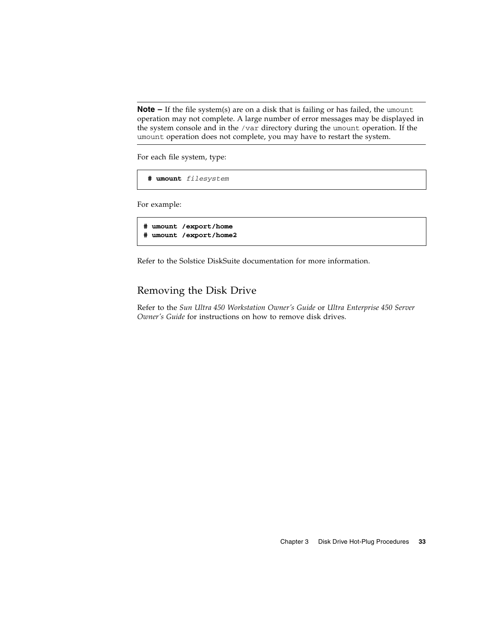**Note –** If the file system(s) are on a disk that is failing or has failed, the umount operation may not complete. A large number of error messages may be displayed in the system console and in the /var directory during the umount operation. If the umount operation does not complete, you may have to restart the system.

For each file system, type:

```
 # umount filesystem
```
For example:

```
# umount /export/home
# umount /export/home2
```
Refer to the Solstice DiskSuite documentation for more information.

### <span id="page-42-0"></span>Removing the Disk Drive

Refer to the *Sun Ultra 450 Workstation Owner's Guide* or *Ultra Enterprise 450 Server Owner's Guide* for instructions on how to remove disk drives.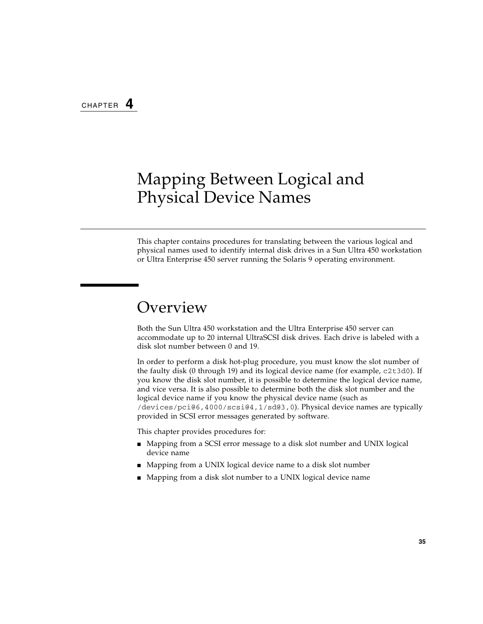## <span id="page-44-2"></span><span id="page-44-0"></span>Mapping Between Logical and Physical Device Names

This chapter contains procedures for translating between the various logical and physical names used to identify internal disk drives in a Sun Ultra 450 workstation or Ultra Enterprise 450 server running the Solaris 9 operating environment.

## <span id="page-44-1"></span>Overview

Both the Sun Ultra 450 workstation and the Ultra Enterprise 450 server can accommodate up to 20 internal UltraSCSI disk drives. Each drive is labeled with a disk slot number between 0 and 19.

In order to perform a disk hot-plug procedure, you must know the slot number of the faulty disk (0 through 19) and its logical device name (for example, c2t3d0). If you know the disk slot number, it is possible to determine the logical device name, and vice versa. It is also possible to determine both the disk slot number and the logical device name if you know the physical device name (such as /devices/pci@6,4000/scsi@4,1/sd@3,0). Physical device names are typically provided in SCSI error messages generated by software.

This chapter provides procedures for:

- Mapping from a SCSI error message to a disk slot number and UNIX logical device name
- Mapping from a UNIX logical device name to a disk slot number
- Mapping from a disk slot number to a UNIX logical device name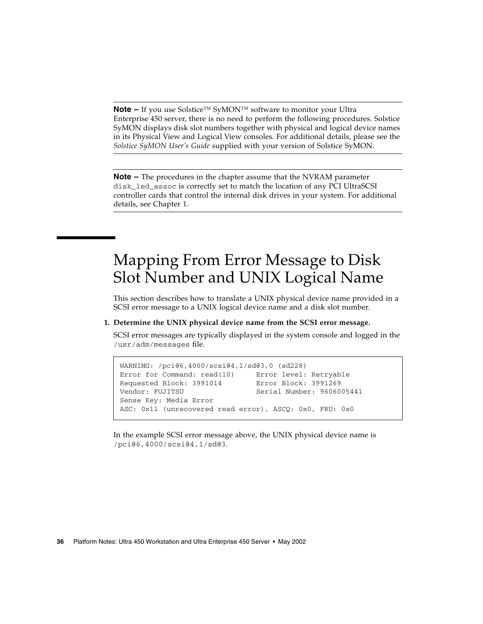**Note –** If you use Solstice™ SyMON™ software to monitor your Ultra Enterprise 450 server, there is no need to perform the following procedures. Solstice SyMON displays disk slot numbers together with physical and logical device names in its Physical View and Logical View consoles. For additional details, please see the *Solstice SyMON User's Guide* supplied with your version of Solstice SyMON.

**Note –** The procedures in the chapter assume that the NVRAM parameter disk\_led\_assoc is correctly set to match the location of any PCI UltraSCSI controller cards that control the internal disk drives in your system. For additional details, see [Chapter 1.](#page-10-2)

## <span id="page-45-0"></span>Mapping From Error Message to Disk Slot Number and UNIX Logical Name

This section describes how to translate a UNIX physical device name provided in a SCSI error message to a UNIX logical device name and a disk slot number.

#### <span id="page-45-1"></span>**1. Determine the UNIX physical device name from the SCSI error message.**

SCSI error messages are typically displayed in the system console and logged in the /usr/adm/messages file.

```
WARNING: /pci@6,4000/scsi@4,1/sd@3,0 (sd228)
Error for Command: read(10) Error level: Retryable
Requested Block: 3991014 Error Block: 3991269
Vendor: FUJITSU Serial Number: 9606005441
Sense Key: Media Error
ASC: 0x11 (unrecovered read error), ASCQ: 0x0, FRU: 0x0
```
In the example SCSI error message above, the UNIX physical device name is /pci@6,4000/scsi@4,1/sd@3.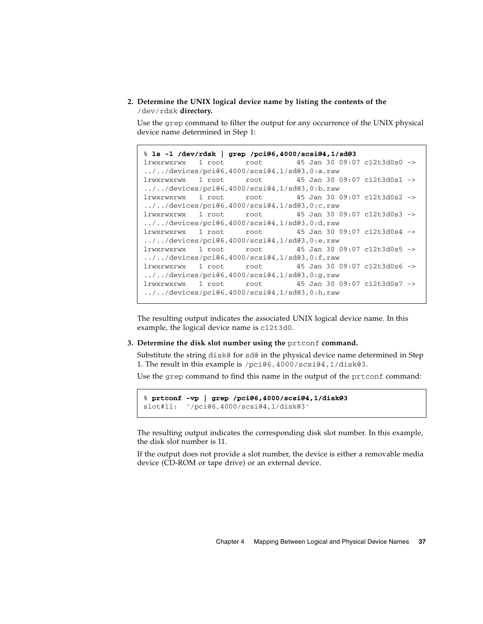#### **2. Determine the UNIX logical device name by listing the contents of the** /dev/rdsk **directory.**

Use the grep command to filter the output for any occurrence of the UNIX physical device name determined in [Step 1](#page-45-1):

```
% ls -l /dev/rdsk | grep /pci@6,4000/scsi@4,1/sd@3
lrwxrwxrwx 1 root root 45 Jan 30 09:07 c12t3d0s0 ->
../../devices/pci@6,4000/scsi@4,1/sd@3,0:a,raw
lrwxrwxrwx 1 root root 45 Jan 30 09:07 c12t3d0s1 ->
../../devices/pci@6,4000/scsi@4,1/sd@3,0:b,raw
lrwxrwxrwx 1 root root 45 Jan 30 09:07 c12t3d0s2 ->
../../devices/pci@6,4000/scsi@4,1/sd@3,0:c,raw
lrwxrwxrwx 1 root root 45 Jan 30 09:07 c12t3d0s3 ->
../../devices/pci@6,4000/scsi@4,1/sd@3,0:d,raw
lrwxrwxrwx 1 root root 45 Jan 30 09:07 c12t3d0s4 ->
../../devices/pci@6,4000/scsi@4,1/sd@3,0:e,raw
lrwxrwxrwx 1 root root 45 Jan 30 09:07 c12t3d0s5 ->
../../devices/pci@6,4000/scsi@4,1/sd@3,0:f,raw
lrwxrwxrwx 1 root root 45 Jan 30 09:07 c12t3d0s6 ->
../../devices/pci@6,4000/scsi@4,1/sd@3,0:g,raw
lrwxrwxrwx 1 root root 45 Jan 30 09:07 c12t3d0s7 ->
../../devices/pci@6,4000/scsi@4,1/sd@3,0:h,raw
```
The resulting output indicates the associated UNIX logical device name. In this example, the logical device name is c12t3d0.

#### **3. Determine the disk slot number using the** prtconf **command.**

Substitute the string disk@ for sd@ in the physical device name determined in [Step](#page-45-1) [1.](#page-45-1) The result in this example is /pci@6,4000/scsi@4,1/disk@3.

Use the grep command to find this name in the output of the prtconf command:

```
% prtconf -vp | grep /pci@6,4000/scsi@4,1/disk@3
slot#11: '/pci@6,4000/scsi@4,1/disk@3'
```
The resulting output indicates the corresponding disk slot number. In this example, the disk slot number is 11.

If the output does not provide a slot number, the device is either a removable media device (CD-ROM or tape drive) or an external device.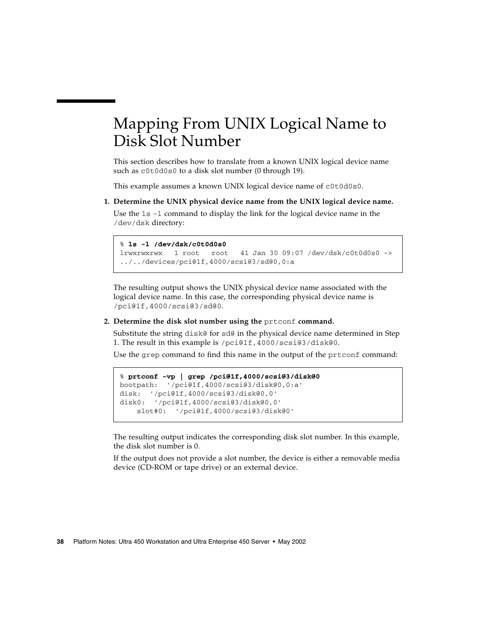## <span id="page-47-0"></span>Mapping From UNIX Logical Name to Disk Slot Number

This section describes how to translate from a known UNIX logical device name such as c0t0d0s0 to a disk slot number (0 through 19).

This example assumes a known UNIX logical device name of c0t0d0s0.

**1. Determine the UNIX physical device name from the UNIX logical device name.**

Use the ls -l command to display the link for the logical device name in the /dev/dsk directory:

% **ls -l /dev/dsk/c0t0d0s0** lrwxrwxrwx 1 root root 41 Jan 30 09:07 /dev/dsk/c0t0d0s0 -> ../../devices/pci@1f,4000/scsi@3/sd@0,0:a

The resulting output shows the UNIX physical device name associated with the logical device name. In this case, the corresponding physical device name is /pci@1f,4000/scsi@3/sd@0.

**2. Determine the disk slot number using the** prtconf **command.**

Substitute the string disk@ for sd@ in the physical device name determined in [Step](#page-45-1) [1.](#page-45-1) The result in this example is /pci@1f,4000/scsi@3/disk@0.

Use the grep command to find this name in the output of the prtconf command:

```
% prtconf -vp | grep /pci@1f,4000/scsi@3/disk@0
bootpath: '/pci@1f,4000/scsi@3/disk@0,0:a'
disk: '/pci@1f,4000/scsi@3/disk@0,0'
disk0: '/pci@1f,4000/scsi@3/disk@0,0'
    slot#0: '/pci@1f,4000/scsi@3/disk@0'
```
The resulting output indicates the corresponding disk slot number. In this example, the disk slot number is 0.

If the output does not provide a slot number, the device is either a removable media device (CD-ROM or tape drive) or an external device.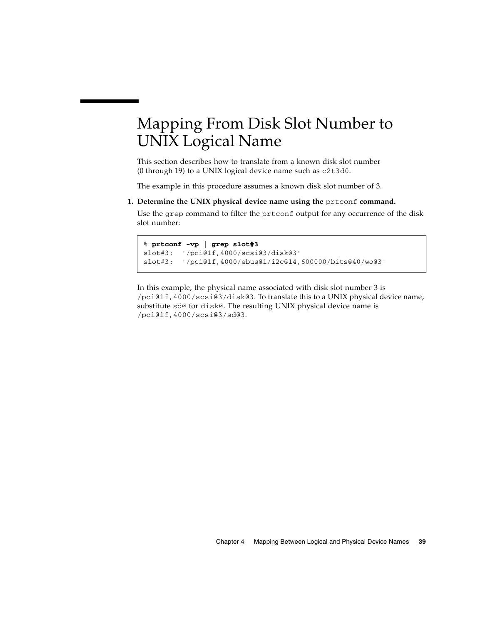# <span id="page-48-0"></span>Mapping From Disk Slot Number to UNIX Logical Name

This section describes how to translate from a known disk slot number (0 through 19) to a UNIX logical device name such as c2t3d0.

The example in this procedure assumes a known disk slot number of 3.

**1. Determine the UNIX physical device name using the** prtconf **command.**

Use the grep command to filter the prtconf output for any occurrence of the disk slot number:

```
% prtconf -vp | grep slot#3
slot#3: '/pci@1f,4000/scsi@3/disk@3'
slot#3: '/pci@1f,4000/ebus@1/i2c@14,600000/bits@40/wo@3'
```
In this example, the physical name associated with disk slot number 3 is /pci@1f,4000/scsi@3/disk@3. To translate this to a UNIX physical device name, substitute sd@ for disk@. The resulting UNIX physical device name is /pci@1f,4000/scsi@3/sd@3.